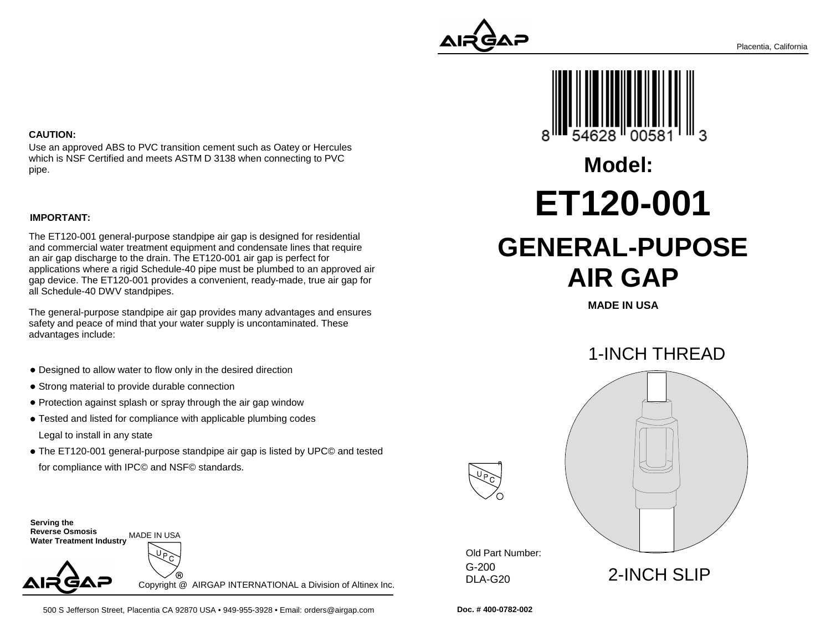### **CAUTION:**

Use an approved ABS to PVC transition cement such as Oatey or Herculeswhich is NSF Certified and meets ASTM D 3138 when connecting to PVCpipe.

#### **IMPORTANT:**

The ET120-001 general-purpose standpipe air gap is designed for residential and commercial water treatment equipment and condensate lines that requirean air gap discharge to the drain. The ET120-001 air gap is perfect for applications where a rigid Schedule-40 pipe must be plumbed to an approved air gap device. The ET120-001 provides a convenient, ready-made, true air gap forall Schedule-40 DWV standpipes.

The general-purpose standpipe air gap provides many advantages and ensuressafety and peace of mind that your water supply is uncontaminated. Theseadvantages include:

- Designed to allow water to flow only in the desired direction
- Strong material to provide durable connection
- Protection against splash or spray through the air gap window
- Tested and listed for compliance with applicable plumbing codes Legal to install in any state
- The ET120-001 general-purpose standpipe air gap is listed by UPC© and testedfor compliance with IPC© and NSF© standards.

**Serving the Reverse Osmosis Water Treatment Industry**MADE IN USA

Copyright @ AIRGAP INTERNATIONAL a Division of Altinex Inc.





**MADE IN USA**



G-200 DLA-G20Old Part Number:

**Doc. # 400-0782-002**